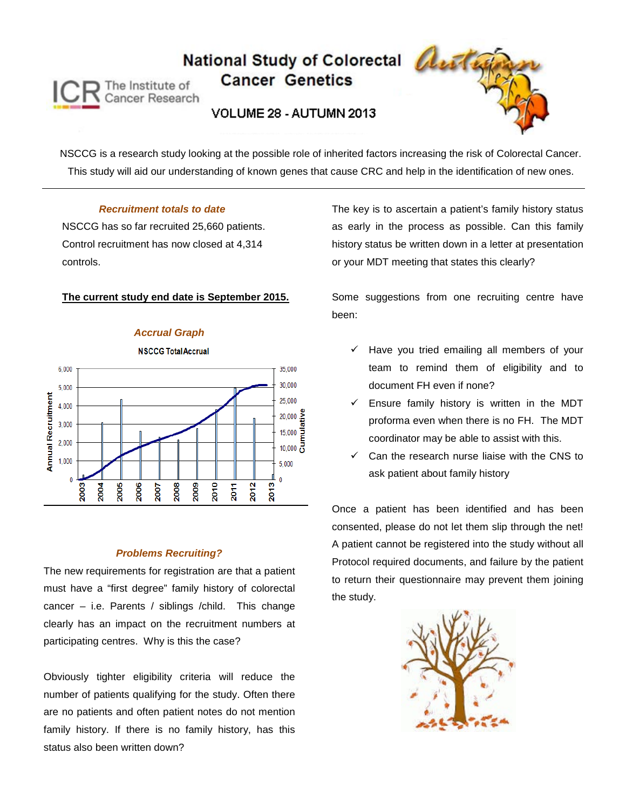# National Study of Colorectal Aut

**Cancer Genetics** 

The Institute of Cancer Research

VOLUME 28 - AUTUMN 2013



NSCCG is a research study looking at the possible role of inherited factors increasing the risk of Colorectal Cancer. This study will aid our understanding of known genes that cause CRC and help in the identification of new ones.

## *Recruitment totals to date*

NSCCG has so far recruited 25,660 patients. Control recruitment has now closed at 4,314 controls.

## **The current study end date is September 2015.**

*Accrual Graph*



# *Problems Recruiting?*

The new requirements for registration are that a patient must have a "first degree" family history of colorectal cancer – i.e. Parents / siblings /child. This change clearly has an impact on the recruitment numbers at participating centres. Why is this the case?

Obviously tighter eligibility criteria will reduce the number of patients qualifying for the study. Often there are no patients and often patient notes do not mention family history. If there is no family history, has this status also been written down?

The key is to ascertain a patient's family history status as early in the process as possible. Can this family history status be written down in a letter at presentation or your MDT meeting that states this clearly?

Some suggestions from one recruiting centre have been:

- $\checkmark$  Have you tried emailing all members of your team to remind them of eligibility and to document FH even if none?
- $\checkmark$  Ensure family history is written in the MDT proforma even when there is no FH. The MDT coordinator may be able to assist with this.
- Can the research nurse liaise with the CNS to ask patient about family history

Once a patient has been identified and has been consented, please do not let them slip through the net! A patient cannot be registered into the study without all Protocol required documents, and failure by the patient to return their questionnaire may prevent them joining the study.